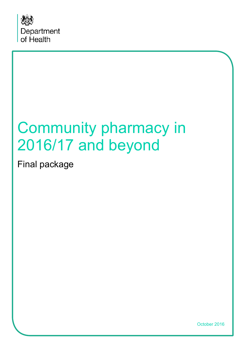

# Community pharmacy in 2016/17 and beyond

Final package

October 2016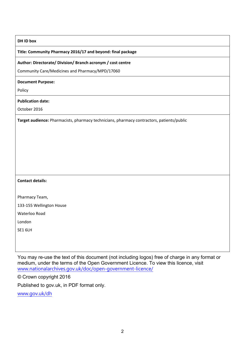#### **DH ID box**

#### **Title: Community Pharmacy 2016/17 and beyond: final package**

#### **Author: Directorate/ Division/ Branch acronym / cost centre**

Community Care/Medicines and Pharmacy/MPD/17060

#### **Document Purpose:**

Policy

#### **Publication date:**

October 2016

**Target audience:** Pharmacists, pharmacy technicians, pharmacy contractors, patients/public

#### **Contact details:**

Pharmacy Team,

133-155 Wellington House

Waterloo Road

London

SE1 6LH

You may re-use the text of this document (not including logos) free of charge in any format or medium, under the terms of the Open Government Licence. To view this licence, visit [www.nationalarchives.gov.uk/doc/open-government-licence/](http://www.nationalarchives.gov.uk/doc/open-government-licence/)

© Crown copyright 2016

Published to gov.uk, in PDF format only.

[www.gov.uk/dh](http://www.gov.uk/dh)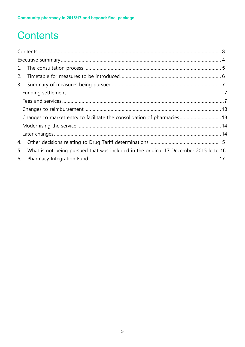## <span id="page-2-0"></span>**Contents**

| 2. |                                                                                       |  |  |  |
|----|---------------------------------------------------------------------------------------|--|--|--|
|    |                                                                                       |  |  |  |
|    |                                                                                       |  |  |  |
|    |                                                                                       |  |  |  |
|    |                                                                                       |  |  |  |
|    | Changes to market entry to facilitate the consolidation of pharmacies 13              |  |  |  |
|    |                                                                                       |  |  |  |
|    |                                                                                       |  |  |  |
| 4. |                                                                                       |  |  |  |
| 5. | What is not being pursued that was included in the original 17 December 2015 letter16 |  |  |  |
| 6. |                                                                                       |  |  |  |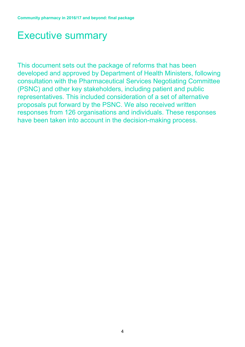### <span id="page-3-0"></span>Executive summary

This document sets out the package of reforms that has been developed and approved by Department of Health Ministers, following consultation with the Pharmaceutical Services Negotiating Committee (PSNC) and other key stakeholders, including patient and public representatives. This included consideration of a set of alternative proposals put forward by the PSNC. We also received written responses from 126 organisations and individuals. These responses have been taken into account in the decision-making process.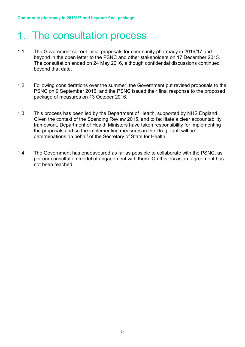## <span id="page-4-0"></span>1. The consultation process

- 1.1. The Government set out initial proposals for community pharmacy in 2016/17 and beyond in the open letter to the PSNC and other stakeholders on 17 December 2015. The consultation ended on 24 May 2016, although confidential discussions continued beyond that date.
- 1.2. Following considerations over the summer, the Government put revised proposals to the PSNC on 9 September 2016, and the PSNC issued their final response to the proposed package of measures on 13 October 2016.
- 1.3. This process has been led by the Department of Health, supported by NHS England. Given the context of the Spending Review 2015, and to facilitate a clear accountability framework, Department of Health Ministers have taken responsibility for implementing the proposals and so the implementing measures in the Drug Tariff will be determinations on behalf of the Secretary of State for Health.
- 1.4. The Government has endeavoured as far as possible to collaborate with the PSNC, as per our consultation model of engagement with them. On this occasion, agreement has not been reached.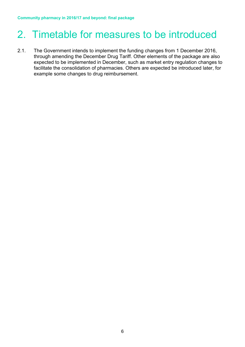## <span id="page-5-0"></span>2. Timetable for measures to be introduced

2.1. The Government intends to implement the funding changes from 1 December 2016, through amending the December Drug Tariff. Other elements of the package are also expected to be implemented in December, such as market entry regulation changes to facilitate the consolidation of pharmacies. Others are expected be introduced later, for example some changes to drug reimbursement.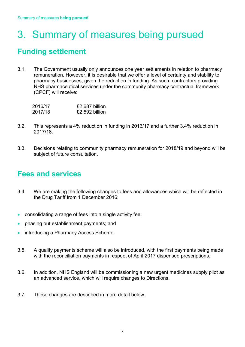## <span id="page-6-0"></span>3. Summary of measures being pursued

### <span id="page-6-1"></span>**Funding settlement**

3.1. The Government usually only announces one year settlements in relation to pharmacy remuneration. However, it is desirable that we offer a level of certainty and stability to pharmacy businesses, given the reduction in funding. As such, contractors providing NHS pharmaceutical services under the community pharmacy contractual framework (CPCF) will receive:

| 2016/17 | £2.687 billion |
|---------|----------------|
| 2017/18 | £2.592 billion |

- 3.2. This represents a 4% reduction in funding in 2016/17 and a further 3.4% reduction in 2017/18.
- 3.3. Decisions relating to community pharmacy remuneration for 2018/19 and beyond will be subject of future consultation.

### <span id="page-6-2"></span>**Fees and services**

- 3.4. We are making the following changes to fees and allowances which will be reflected in the Drug Tariff from 1 December 2016:
- consolidating a range of fees into a single activity fee;
- phasing out establishment payments; and
- introducing a Pharmacy Access Scheme.
- 3.5. A quality payments scheme will also be introduced, with the first payments being made with the reconciliation payments in respect of April 2017 dispensed prescriptions.
- 3.6. In addition, NHS England will be commissioning a new urgent medicines supply pilot as an advanced service, which will require changes to Directions.
- 3.7. These changes are described in more detail below.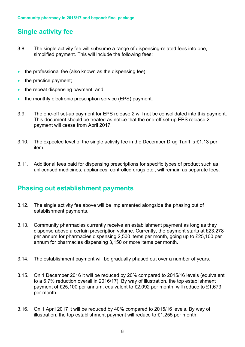### **Single activity fee**

- 3.8. The single activity fee will subsume a range of dispensing-related fees into one, simplified payment. This will include the following fees:
- the professional fee (also known as the dispensing fee);
- the practice payment;
- the repeat dispensing payment; and
- the monthly electronic prescription service (EPS) payment.
- 3.9. The one-off set-up payment for EPS release 2 will not be consolidated into this payment. This document should be treated as notice that the one-off set-up EPS release 2 payment will cease from April 2017.
- 3.10. The expected level of the single activity fee in the December Drug Tariff is £1.13 per item.
- 3.11. Additional fees paid for dispensing prescriptions for specific types of product such as unlicensed medicines, appliances, controlled drugs etc., will remain as separate fees.

#### **Phasing out establishment payments**

- 3.12. The single activity fee above will be implemented alongside the phasing out of establishment payments.
- 3.13. Community pharmacies currently receive an establishment payment as long as they dispense above a certain prescription volume. Currently, the payment starts at £23,278 per annum for pharmacies dispensing 2,500 items per month, going up to £25,100 per annum for pharmacies dispensing 3,150 or more items per month.
- 3.14. The establishment payment will be gradually phased out over a number of years.
- 3.15. On 1 December 2016 it will be reduced by 20% compared to 2015/16 levels (equivalent to a 6.7% reduction overall in 2016/17). By way of illustration, the top establishment payment of £25,100 per annum, equivalent to £2,092 per month, will reduce to £1,673 per month.
- 3.16. On 1 April 2017 it will be reduced by 40% compared to 2015/16 levels. By way of illustration, the top establishment payment will reduce to £1,255 per month.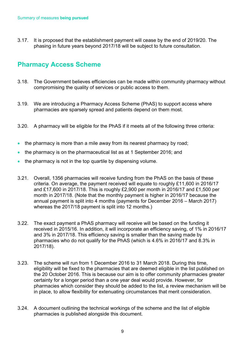3.17. It is proposed that the establishment payment will cease by the end of 2019/20. The phasing in future years beyond 2017/18 will be subject to future consultation.

#### **Pharmacy Access Scheme**

- 3.18. The Government believes efficiencies can be made within community pharmacy without compromising the quality of services or public access to them.
- 3.19. We are introducing a Pharmacy Access Scheme (PhAS) to support access where pharmacies are sparsely spread and patients depend on them most.
- 3.20. A pharmacy will be eligible for the PhAS if it meets all of the following three criteria:
- the pharmacy is more than a mile away from its nearest pharmacy by road;
- the pharmacy is on the pharmaceutical list as at 1 September 2016; and
- the pharmacy is not in the top quartile by dispensing volume.
- 3.21. Overall, 1356 pharmacies will receive funding from the PhAS on the basis of these criteria. On average, the payment received will equate to roughly £11,600 in 2016/17 and £17,600 in 2017/18. This is roughly £2,900 per month in 2016/17 and £1,500 per month in 2017/18. (Note that the monthly payment is higher in 2016/17 because the annual payment is split into 4 months (payments for December 2016 – March 2017) whereas the 2017/18 payment is split into 12 months.)
- 3.22. The exact payment a PhAS pharmacy will receive will be based on the funding it received in 2015/16. In addition, it will incorporate an efficiency saving, of 1% in 2016/17 and 3% in 2017/18. This efficiency saving is smaller than the saving made by pharmacies who do not qualify for the PhAS (which is 4.6% in 2016/17 and 8.3% in 2017/18).
- 3.23. The scheme will run from 1 December 2016 to 31 March 2018. During this time, eligibility will be fixed to the pharmacies that are deemed eligible in the list published on the 20 October 2016. This is because our aim is to offer community pharmacies greater certainty for a longer period than a one year deal would provide. However, for pharmacies which consider they should be added to the list, a review mechanism will be in place, to allow flexibility for extenuating circumstances that merit consideration.
- 3.24. A document outlining the technical workings of the scheme and the list of eligible pharmacies is published alongside this document.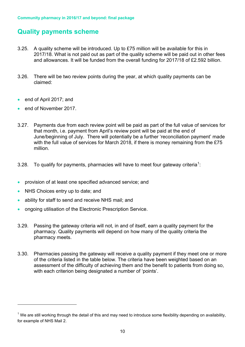#### **Quality payments scheme**

- 3.25. A quality scheme will be introduced. Up to £75 million will be available for this in 2017/18. What is not paid out as part of the quality scheme will be paid out in other fees and allowances. It will be funded from the overall funding for 2017/18 of £2.592 billion.
- 3.26. There will be two review points during the year, at which quality payments can be claimed:
- end of April 2017; and
- end of November 2017.
- 3.27. Payments due from each review point will be paid as part of the full value of services for that month, i.e. payment from April's review point will be paid at the end of June/beginning of July. There will potentially be a further 'reconciliation payment' made with the full value of services for March 2018, if there is money remaining from the £75 million.
- 3.28. To qualify for payments, pharmacies will have to meet four gateway criteria<sup>[1](#page--1-0)</sup>:
- provision of at least one specified advanced service; and
- NHS Choices entry up to date; and

 $\overline{a}$ 

- ability for staff to send and receive NHS mail; and
- ongoing utilisation of the Electronic Prescription Service.
- 3.29. Passing the gateway criteria will not, in and of itself, earn a quality payment for the pharmacy. Quality payments will depend on how many of the quality criteria the pharmacy meets.
- 3.30. Pharmacies passing the gateway will receive a quality payment if they meet one or more of the criteria listed in the table below. The criteria have been weighted based on an assessment of the difficulty of achieving them and the benefit to patients from doing so, with each criterion being designated a number of 'points'.

 $1$  We are still working through the detail of this and may need to introduce some flexibility depending on availability, for example of NHS Mail 2.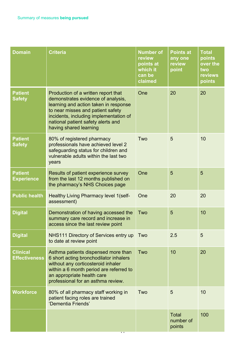| <b>Domain</b>                           | <b>Criteria</b>                                                                                                                                                                                                                                                   | <b>Number of</b><br>review<br>points at<br>which it<br>can be<br>claimed | <b>Points at</b><br>any one<br>review<br>point | <b>Total</b><br>points<br>over the<br>two<br>reviews<br>points |
|-----------------------------------------|-------------------------------------------------------------------------------------------------------------------------------------------------------------------------------------------------------------------------------------------------------------------|--------------------------------------------------------------------------|------------------------------------------------|----------------------------------------------------------------|
| <b>Patient</b><br><b>Safety</b>         | Production of a written report that<br>demonstrates evidence of analysis,<br>learning and action taken in response<br>to near misses and patient safety<br>incidents, including implementation of<br>national patient safety alerts and<br>having shared learning | One                                                                      | 20                                             | 20                                                             |
| <b>Patient</b><br><b>Safety</b>         | 80% of registered pharmacy<br>professionals have achieved level 2<br>safeguarding status for children and<br>vulnerable adults within the last two<br>years                                                                                                       | Two                                                                      | 5                                              | 10                                                             |
| <b>Patient</b><br><b>Experience</b>     | Results of patient experience survey<br>from the last 12 months published on<br>the pharmacy's NHS Choices page                                                                                                                                                   | One                                                                      | 5                                              | 5                                                              |
| <b>Public health</b>                    | Healthy Living Pharmacy level 1(self-<br>assessment)                                                                                                                                                                                                              | One                                                                      | 20                                             | 20                                                             |
| <b>Digital</b>                          | Demonstration of having accessed the<br>summary care record and increase in<br>access since the last review point                                                                                                                                                 | Two                                                                      | 5                                              | 10                                                             |
| <b>Digital</b>                          | NHS111 Directory of Services entry up<br>to date at review point                                                                                                                                                                                                  | Two                                                                      | 2.5                                            | 5                                                              |
| <b>Clinical</b><br><b>Effectiveness</b> | Asthma patients dispensed more than<br>6 short acting bronchodilator inhalers<br>without any corticosteroid inhaler<br>within a 6 month period are referred to<br>an appropriate health care<br>professional for an asthma review.                                | Two                                                                      | 10                                             | 20                                                             |
| <b>Workforce</b>                        | 80% of all pharmacy staff working in<br>patient facing roles are trained<br>'Dementia Friends'                                                                                                                                                                    | Two                                                                      | 5                                              | 10                                                             |
|                                         |                                                                                                                                                                                                                                                                   |                                                                          | <b>Total</b><br>number of<br>points            | 100                                                            |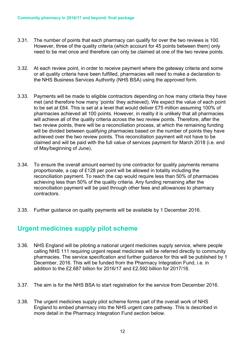- 3.31. The number of points that each pharmacy can qualify for over the two reviews is 100. However, three of the quality criteria (which account for 45 points between them) only need to be met once and therefore can only be claimed at one of the two review points.
- 3.32. At each review point, in order to receive payment where the gateway criteria and some or all quality criteria have been fulfilled, pharmacies will need to make a declaration to the NHS Business Services Authority (NHS BSA) using the approved form.
- 3.33. Payments will be made to eligible contractors depending on how many criteria they have met (and therefore how many 'points' they achieved). We expect the value of each point to be set at £64. This is set at a level that would deliver £75 million assuming 100% of pharmacies achieved all 100 points. However, in reality it is unlikely that all pharmacies will achieve all of the quality criteria across the two review points. Therefore, after the two review points, there will be a reconciliation process, at which the remaining funding will be divided between qualifying pharmacies based on the number of points they have achieved over the two review points. This reconciliation payment will not have to be claimed and will be paid with the full value of services payment for March 2018 (i.e. end of May/beginning of June).
- 3.34. To ensure the overall amount earned by one contractor for quality payments remains proportionate, a cap of £128 per point will be allowed in totality including the reconciliation payment. To reach the cap would require less than 50% of pharmacies achieving less than 50% of the quality criteria. Any funding remaining after the reconciliation payment will be paid through other fees and allowances to pharmacy contractors.
- 3.35. Further guidance on quality payments will be available by 1 December 2016.

#### **Urgent medicines supply pilot scheme**

- 3.36. NHS England will be piloting a national urgent medicines supply service, where people calling NHS 111 requiring urgent repeat medicines will be referred directly to community pharmacies. The service specification and further guidance for this will be published by 1 December, 2016. This will be funded from the Pharmacy Integration Fund, i.e. in addition to the £2.687 billion for 2016/17 and £2.592 billion for 2017/18.
- 3.37. The aim is for the NHS BSA to start registration for the service from December 2016.
- 3.38. The urgent medicines supply pilot scheme forms part of the overall work of NHS England to embed pharmacy into the NHS urgent care pathway. This is described in more detail in the Pharmacy Integration Fund section below.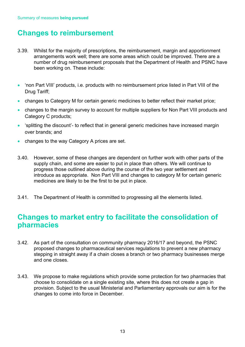### <span id="page-12-0"></span>**Changes to reimbursement**

- 3.39. Whilst for the majority of prescriptions, the reimbursement, margin and apportionment arrangements work well; there are some areas which could be improved. There are a number of drug reimbursement proposals that the Department of Health and PSNC have been working on. These include:
- 'non Part VIII' products, i.e. products with no reimbursement price listed in Part VIII of the Drug Tariff;
- changes to Category M for certain generic medicines to better reflect their market price;
- changes to the margin survey to account for multiple suppliers for Non Part VIII products and Category C products;
- 'splitting the discount'- to reflect that in general generic medicines have increased margin over brands; and
- changes to the way Category A prices are set.
- 3.40. However, some of these changes are dependent on further work with other parts of the supply chain, and some are easier to put in place than others. We will continue to progress those outlined above during the course of the two year settlement and introduce as appropriate. Non Part VIII and changes to category M for certain generic medicines are likely to be the first to be put in place.
- 3.41. The Department of Health is committed to progressing all the elements listed.

### <span id="page-12-1"></span>**Changes to market entry to facilitate the consolidation of pharmacies**

- 3.42. As part of the consultation on community pharmacy 2016/17 and beyond, the PSNC proposed changes to pharmaceutical services regulations to prevent a new pharmacy stepping in straight away if a chain closes a branch or two pharmacy businesses merge and one closes.
- 3.43. We propose to make regulations which provide some protection for two pharmacies that choose to consolidate on a single existing site, where this does not create a gap in provision. Subject to the usual Ministerial and Parliamentary approvals our aim is for the changes to come into force in December.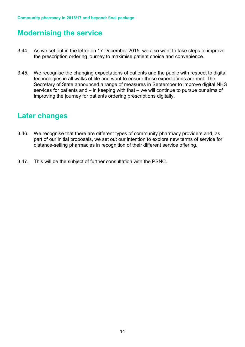### <span id="page-13-0"></span>**Modernising the service**

- 3.44. As we set out in the letter on 17 December 2015, we also want to take steps to improve the prescription ordering journey to maximise patient choice and convenience.
- 3.45. We recognise the changing expectations of patients and the public with respect to digital technologies in all walks of life and want to ensure those expectations are met. The Secretary of State announced a range of measures in September to improve digital NHS services for patients and – in keeping with that – we will continue to pursue our aims of improving the journey for patients ordering prescriptions digitally.

### <span id="page-13-1"></span>**Later changes**

- 3.46. We recognise that there are different types of community pharmacy providers and, as part of our initial proposals, we set out our intention to explore new terms of service for distance-selling pharmacies in recognition of their different service offering.
- 3.47. This will be the subject of further consultation with the PSNC.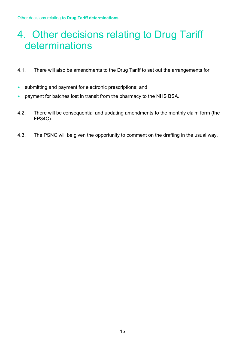## <span id="page-14-0"></span>4. Other decisions relating to Drug Tariff determinations

- 4.1. There will also be amendments to the Drug Tariff to set out the arrangements for:
- submitting and payment for electronic prescriptions; and
- payment for batches lost in transit from the pharmacy to the NHS BSA.
- 4.2. There will be consequential and updating amendments to the monthly claim form (the FP34C).
- 4.3. The PSNC will be given the opportunity to comment on the drafting in the usual way.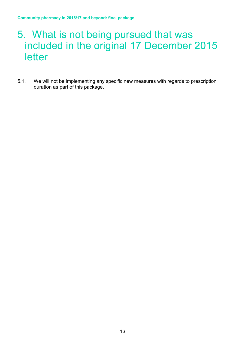### <span id="page-15-0"></span>5. What is not being pursued that was included in the original 17 December 2015 letter

5.1. We will not be implementing any specific new measures with regards to prescription duration as part of this package.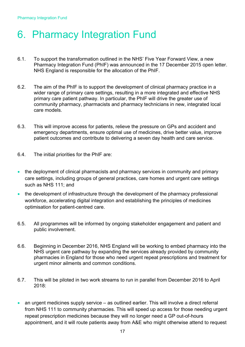## <span id="page-16-0"></span>6. Pharmacy Integration Fund

- 6.1. To support the transformation outlined in the NHS' Five Year Forward View, a new Pharmacy Integration Fund (PhIF) was announced in the 17 December 2015 open letter. NHS England is responsible for the allocation of the PhIF.
- 6.2. The aim of the PhIF is to support the development of clinical pharmacy practice in a wider range of primary care settings, resulting in a more integrated and effective NHS primary care patient pathway. In particular, the PhIF will drive the greater use of community pharmacy, pharmacists and pharmacy technicians in new, integrated local care models.
- 6.3. This will improve access for patients, relieve the pressure on GPs and accident and emergency departments, ensure optimal use of medicines, drive better value, improve patient outcomes and contribute to delivering a seven day health and care service.
- 6.4. The initial priorities for the PhIF are:
- the deployment of clinical pharmacists and pharmacy services in community and primary care settings, including groups of general practices, care homes and urgent care settings such as NHS 111; and
- the development of infrastructure through the development of the pharmacy professional workforce, accelerating digital integration and establishing the principles of medicines optimisation for patient-centred care.
- 6.5. All programmes will be informed by ongoing stakeholder engagement and patient and public involvement.
- 6.6. Beginning in December 2016, NHS England will be working to embed pharmacy into the NHS urgent care pathway by expanding the services already provided by community pharmacies in England for those who need urgent repeat prescriptions and treatment for urgent minor ailments and common conditions.
- 6.7. This will be piloted in two work streams to run in parallel from December 2016 to April 2018:
- an urgent medicines supply service as outlined earlier. This will involve a direct referral from NHS 111 to community pharmacies. This will speed up access for those needing urgent repeat prescription medicines because they will no longer need a GP out-of-hours appointment, and it will route patients away from A&E who might otherwise attend to request